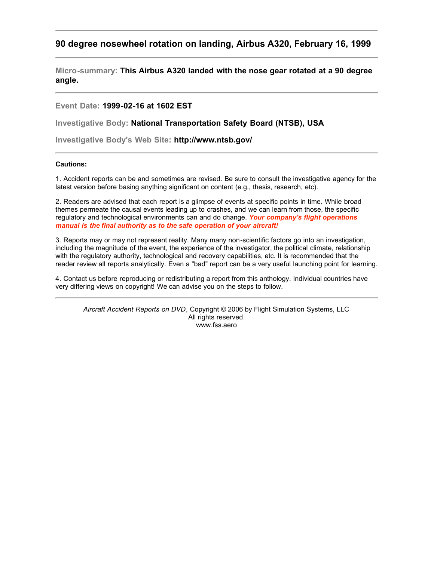## **90 degree nosewheel rotation on landing, Airbus A320, February 16, 1999**

**Micro-summary: This Airbus A320 landed with the nose gear rotated at a 90 degree angle.**

## **Event Date: 1999-02-16 at 1602 EST**

**Investigative Body: National Transportation Safety Board (NTSB), USA**

**Investigative Body's Web Site: http://www.ntsb.gov/**

## **Cautions:**

1. Accident reports can be and sometimes are revised. Be sure to consult the investigative agency for the latest version before basing anything significant on content (e.g., thesis, research, etc).

2. Readers are advised that each report is a glimpse of events at specific points in time. While broad themes permeate the causal events leading up to crashes, and we can learn from those, the specific regulatory and technological environments can and do change. *Your company's flight operations manual is the final authority as to the safe operation of your aircraft!*

3. Reports may or may not represent reality. Many many non-scientific factors go into an investigation, including the magnitude of the event, the experience of the investigator, the political climate, relationship with the regulatory authority, technological and recovery capabilities, etc. It is recommended that the reader review all reports analytically. Even a "bad" report can be a very useful launching point for learning.

4. Contact us before reproducing or redistributing a report from this anthology. Individual countries have very differing views on copyright! We can advise you on the steps to follow.

*Aircraft Accident Reports on DVD*, Copyright © 2006 by Flight Simulation Systems, LLC All rights reserved. www.fss.aero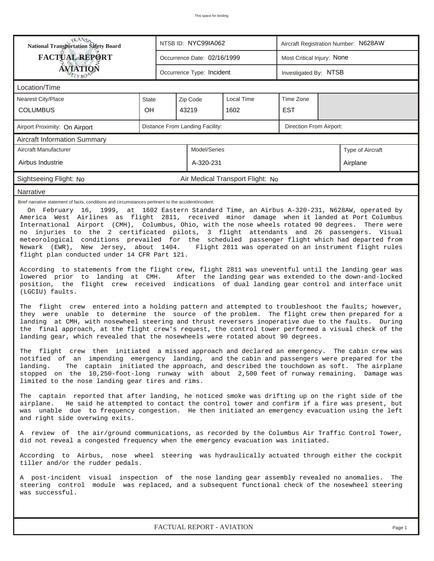| <b>National Transportation Safety Board</b>                                                                                                                                                                                                                                                                                                                                                                                                                                                                                                                                                                                                      |                                                                                                                                                                                                        | NTSB ID: NYC99IA062<br>Aircraft Registration Number: N628AW |           |                                  |                       |                            |          |                  |  |  |
|--------------------------------------------------------------------------------------------------------------------------------------------------------------------------------------------------------------------------------------------------------------------------------------------------------------------------------------------------------------------------------------------------------------------------------------------------------------------------------------------------------------------------------------------------------------------------------------------------------------------------------------------------|--------------------------------------------------------------------------------------------------------------------------------------------------------------------------------------------------------|-------------------------------------------------------------|-----------|----------------------------------|-----------------------|----------------------------|----------|------------------|--|--|
| <b>FACTUAL REPORT</b>                                                                                                                                                                                                                                                                                                                                                                                                                                                                                                                                                                                                                            |                                                                                                                                                                                                        | Occurrence Date: 02/16/1999                                 |           |                                  |                       | Most Critical Injury: None |          |                  |  |  |
| <b>AVIATION</b><br>ETYBON                                                                                                                                                                                                                                                                                                                                                                                                                                                                                                                                                                                                                        |                                                                                                                                                                                                        | Occurrence Type: Incident                                   |           |                                  | Investigated By: NTSB |                            |          |                  |  |  |
| Location/Time                                                                                                                                                                                                                                                                                                                                                                                                                                                                                                                                                                                                                                    |                                                                                                                                                                                                        |                                                             |           |                                  |                       |                            |          |                  |  |  |
| <b>Nearest City/Place</b>                                                                                                                                                                                                                                                                                                                                                                                                                                                                                                                                                                                                                        | <b>State</b>                                                                                                                                                                                           | Zip Code                                                    |           |                                  |                       |                            |          |                  |  |  |
| <b>COLUMBUS</b>                                                                                                                                                                                                                                                                                                                                                                                                                                                                                                                                                                                                                                  | OH                                                                                                                                                                                                     | 43219                                                       |           | 1602                             |                       | <b>EST</b>                 |          |                  |  |  |
| Airport Proximity: On Airport                                                                                                                                                                                                                                                                                                                                                                                                                                                                                                                                                                                                                    |                                                                                                                                                                                                        | Distance From Landing Facility:<br>Direction From Airport:  |           |                                  |                       |                            |          |                  |  |  |
| <b>Aircraft Information Summary</b>                                                                                                                                                                                                                                                                                                                                                                                                                                                                                                                                                                                                              |                                                                                                                                                                                                        |                                                             |           |                                  |                       |                            |          |                  |  |  |
| Model/Series<br>Aircraft Manufacturer                                                                                                                                                                                                                                                                                                                                                                                                                                                                                                                                                                                                            |                                                                                                                                                                                                        |                                                             |           |                                  |                       |                            |          | Type of Aircraft |  |  |
| Airbus Industrie                                                                                                                                                                                                                                                                                                                                                                                                                                                                                                                                                                                                                                 |                                                                                                                                                                                                        |                                                             | A-320-231 |                                  |                       |                            | Airplane |                  |  |  |
| Sightseeing Flight: No                                                                                                                                                                                                                                                                                                                                                                                                                                                                                                                                                                                                                           |                                                                                                                                                                                                        |                                                             |           | Air Medical Transport Flight: No |                       |                            |          |                  |  |  |
| Narrative                                                                                                                                                                                                                                                                                                                                                                                                                                                                                                                                                                                                                                        |                                                                                                                                                                                                        |                                                             |           |                                  |                       |                            |          |                  |  |  |
| On February 16, 1999, at 1602 Eastern Standard Time, an Airbus A-320-231, N628AW, operated by<br>America West Airlines as flight 2811, received minor damage when it landed at Port Columbus<br>International Airport (CMH), Columbus, Ohio, with the nose wheels rotated 90 degrees.<br>There were<br>no injuries to the 2 certificated pilots, 3 flight attendants and 26 passengers. Visual<br>meteorological conditions prevailed for the scheduled passenger flight which had departed from<br>Newark (EWR), New Jersey, about 1404. Flight 2811 was operated on an instrument flight rules<br>flight plan conducted under 14 CFR Part 121. |                                                                                                                                                                                                        |                                                             |           |                                  |                       |                            |          |                  |  |  |
| According to statements from the flight crew, flight 2811 was uneventful until the landing gear was<br>lowered prior to landing at CMH. After the landing gear was extended to the down-and-locked<br>position, the flight crew received indications of dual landing gear control and interface unit<br>(LGCIU) faults.                                                                                                                                                                                                                                                                                                                          |                                                                                                                                                                                                        |                                                             |           |                                  |                       |                            |          |                  |  |  |
| The flight crew entered into a holding pattern and attempted to troubleshoot the faults; however,<br>they were unable to determine the source of the problem. The flight crew then prepared for a<br>landing at CMH, with nosewheel steering and thrust reversers inoperative due to the faults. During<br>the final approach, at the flight crew's request, the control tower performed a visual check of the<br>landing gear, which revealed that the nosewheels were rotated about 90 degrees.                                                                                                                                                |                                                                                                                                                                                                        |                                                             |           |                                  |                       |                            |          |                  |  |  |
| The flight crew then initiated a missed approach and declared an emergency. The cabin crew was<br>notified of an impending emergency landing, and the cabin and passengers were prepared for the<br>The captain initiated the approach, and described the touchdown as soft. The airplane<br>landing.<br>stopped on the 10,250-foot-long runway with about 2,500 feet of runway remaining. Damage was<br>limited to the nose landing gear tires and rims.                                                                                                                                                                                        |                                                                                                                                                                                                        |                                                             |           |                                  |                       |                            |          |                  |  |  |
| The captain reported that after landing, he noticed smoke was drifting up on the right side of the<br>He said he attempted to contact the control tower and confirm if a fire was present, but<br>airplane.<br>was unable due to frequency congestion. He then initiated an emergency evacuation using the left<br>and right side overwing exits.                                                                                                                                                                                                                                                                                                |                                                                                                                                                                                                        |                                                             |           |                                  |                       |                            |          |                  |  |  |
| A review of the air/ground communications, as recorded by the Columbus Air Traffic Control Tower,<br>did not reveal a congested frequency when the emergency evacuation was initiated.                                                                                                                                                                                                                                                                                                                                                                                                                                                           |                                                                                                                                                                                                        |                                                             |           |                                  |                       |                            |          |                  |  |  |
| According to Airbus, nose wheel steering was hydraulically actuated through either the cockpit<br>tiller and/or the rudder pedals.                                                                                                                                                                                                                                                                                                                                                                                                                                                                                                               |                                                                                                                                                                                                        |                                                             |           |                                  |                       |                            |          |                  |  |  |
| was successful.                                                                                                                                                                                                                                                                                                                                                                                                                                                                                                                                                                                                                                  | A post-incident visual inspection of the nose landing gear assembly revealed no anomalies.<br>The<br>steering control module was replaced, and a subsequent functional check of the nosewheel steering |                                                             |           |                                  |                       |                            |          |                  |  |  |
|                                                                                                                                                                                                                                                                                                                                                                                                                                                                                                                                                                                                                                                  |                                                                                                                                                                                                        |                                                             |           |                                  |                       |                            |          |                  |  |  |
|                                                                                                                                                                                                                                                                                                                                                                                                                                                                                                                                                                                                                                                  |                                                                                                                                                                                                        |                                                             |           | FACTUAL REPORT - AVIATION        |                       |                            |          | Page 1           |  |  |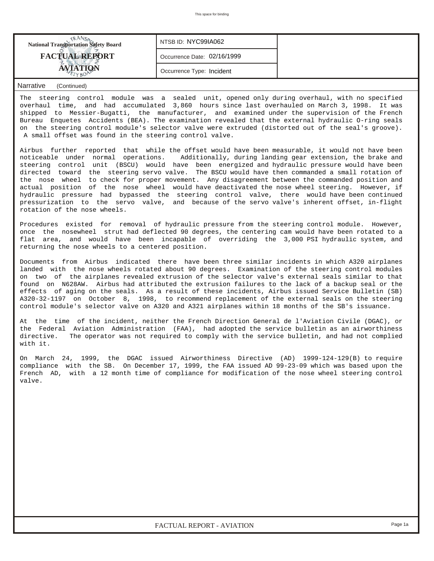| <b>National Transportation Safety Board</b> | NTSB ID: NYC99IA062         |  |
|---------------------------------------------|-----------------------------|--|
| <b>FACTUAL REPORT</b>                       | Occurrence Date: 02/16/1999 |  |
|                                             | Occurrence Type: Incident   |  |

## *Narrative (Continued)*

The steering control module was a sealed unit, opened only during overhaul, with no specified overhaul time, and had accumulated 3,860 hours since last overhauled on March 3, 1998. It was shipped to Messier-Bugatti, the manufacturer, and examined under the supervision of the French Bureau Enquetes Accidents (BEA). The examination revealed that the external hydraulic O-ring seals on the steering control module's selector valve were extruded (distorted out of the seal's groove). A small offset was found in the steering control valve.

Airbus further reported that while the offset would have been measurable, it would not have been noticeable under normal operations. Additionally, during landing gear extension, the brake and steering control unit (BSCU) would have been energized and hydraulic pressure would have been directed toward the steering servo valve. The BSCU would have then commanded a small rotation of the nose wheel to check for proper movement. Any disagreement between the commanded position and actual position of the nose wheel would have deactivated the nose wheel steering. However, if hydraulic pressure had bypassed the steering control valve, there would have been continued pressurization to the servo valve, and because of the servo valve's inherent offset, in-flight rotation of the nose wheels.

Procedures existed for removal of hydraulic pressure from the steering control module. However, once the nosewheel strut had deflected 90 degrees, the centering cam would have been rotated to a flat area, and would have been incapable of overriding the 3,000 PSI hydraulic system, and returning the nose wheels to a centered position.

Documents from Airbus indicated there have been three similar incidents in which A320 airplanes landed with the nose wheels rotated about 90 degrees. Examination of the steering control modules on two of the airplanes revealed extrusion of the selector valve's external seals similar to that found on N628AW. Airbus had attributed the extrusion failures to the lack of a backup seal or the effects of aging on the seals. As a result of these incidents, Airbus issued Service Bulletin (SB) A320-32-1197 on October 8, 1998, to recommend replacement of the external seals on the steering control module's selector valve on A320 and A321 airplanes within 18 months of the SB's issuance.

At the time of the incident, neither the French Direction General de l'Aviation Civile (DGAC), or the Federal Aviation Administration (FAA), had adopted the service bulletin as an airworthiness directive. The operator was not required to comply with the service bulletin, and had not complied with it.

On March 24, 1999, the DGAC issued Airworthiness Directive (AD) 1999-124-129(B) to require compliance with the SB. On December 17, 1999, the FAA issued AD 99-23-09 which was based upon the French AD, with a 12 month time of compliance for modification of the nose wheel steering control valve.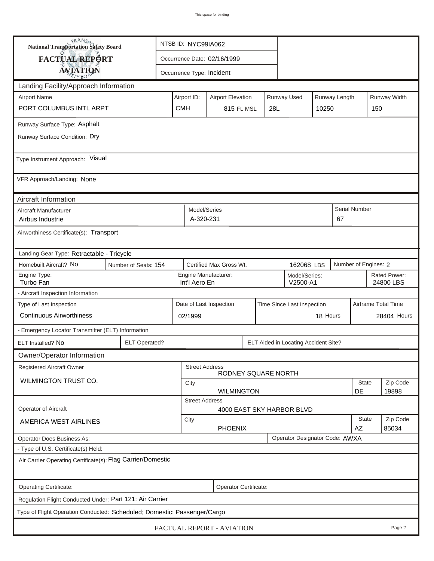| <b>National Transportation Safety Board</b>                              |                        |                                                           | NTSB ID: NYC99IA062                                                     |                           |  |                           |                                      |                   |                           |                      |              |  |
|--------------------------------------------------------------------------|------------------------|-----------------------------------------------------------|-------------------------------------------------------------------------|---------------------------|--|---------------------------|--------------------------------------|-------------------|---------------------------|----------------------|--------------|--|
| <b>FACTUAL REPORT</b>                                                    |                        | Occurrence Date: 02/16/1999                               |                                                                         |                           |  |                           |                                      |                   |                           |                      |              |  |
| <b>AVIATION</b>                                                          |                        |                                                           |                                                                         | Occurrence Type: Incident |  |                           |                                      |                   |                           |                      |              |  |
| Landing Facility/Approach Information                                    |                        |                                                           |                                                                         |                           |  |                           |                                      |                   |                           |                      |              |  |
| <b>Airport Name</b>                                                      |                        |                                                           | Runway Used<br>Airport ID:<br>Runway Length<br><b>Airport Elevation</b> |                           |  |                           |                                      |                   |                           |                      | Runway Width |  |
| PORT COLUMBUS INTL ARPT                                                  |                        | <b>CMH</b>                                                |                                                                         | 815 Ft. MSL               |  | 28L                       |                                      | 10250             |                           | 150                  |              |  |
| Runway Surface Type: Asphalt                                             |                        |                                                           |                                                                         |                           |  |                           |                                      |                   |                           |                      |              |  |
| Runway Surface Condition: Dry                                            |                        |                                                           |                                                                         |                           |  |                           |                                      |                   |                           |                      |              |  |
| Type Instrument Approach: Visual                                         |                        |                                                           |                                                                         |                           |  |                           |                                      |                   |                           |                      |              |  |
| VFR Approach/Landing: None                                               |                        |                                                           |                                                                         |                           |  |                           |                                      |                   |                           |                      |              |  |
| Aircraft Information                                                     |                        |                                                           |                                                                         |                           |  |                           |                                      |                   |                           |                      |              |  |
| Aircraft Manufacturer<br>Airbus Industrie                                |                        |                                                           | Model/Series<br>A-320-231                                               |                           |  |                           |                                      |                   | 67                        | Serial Number        |              |  |
| Airworthiness Certificate(s): Transport                                  |                        |                                                           |                                                                         |                           |  |                           |                                      |                   |                           |                      |              |  |
| Landing Gear Type: Retractable - Tricycle                                |                        |                                                           |                                                                         |                           |  |                           |                                      |                   |                           |                      |              |  |
| Homebuilt Aircraft? No                                                   | Number of Seats: 154   |                                                           | Certified Max Gross Wt.<br>162068 LBS                                   |                           |  |                           |                                      |                   |                           | Number of Engines: 2 |              |  |
| Engine Type:<br>Turbo Fan                                                |                        | Int'l Aero En                                             | Engine Manufacturer:                                                    |                           |  | Model/Series:<br>V2500-A1 |                                      |                   | Rated Power:<br>24800 LBS |                      |              |  |
| - Aircraft Inspection Information                                        |                        |                                                           |                                                                         |                           |  |                           |                                      |                   |                           |                      |              |  |
| Type of Last Inspection                                                  |                        | Date of Last Inspection<br>Time Since Last Inspection     |                                                                         |                           |  |                           |                                      |                   |                           | Airframe Total Time  |              |  |
| <b>Continuous Airworthiness</b>                                          |                        |                                                           | 18 Hours<br>02/1999                                                     |                           |  |                           |                                      |                   |                           |                      | 28404 Hours  |  |
| - Emergency Locator Transmitter (ELT) Information                        |                        |                                                           |                                                                         |                           |  |                           |                                      |                   |                           |                      |              |  |
| ELT Installed? No                                                        | <b>ELT Operated?</b>   |                                                           |                                                                         |                           |  |                           | ELT Aided in Locating Accident Site? |                   |                           |                      |              |  |
| Owner/Operator Information                                               |                        |                                                           |                                                                         |                           |  |                           |                                      |                   |                           |                      |              |  |
| Registered Aircraft Owner                                                |                        |                                                           | <b>Street Address</b>                                                   | RODNEY SQUARE NORTH       |  |                           |                                      |                   |                           |                      |              |  |
| WILMINGTON TRUST CO.                                                     |                        |                                                           | <b>State</b><br>City                                                    |                           |  |                           |                                      |                   |                           |                      | Zip Code     |  |
|                                                                          |                        | DE<br>19898<br><b>WILMINGTON</b><br><b>Street Address</b> |                                                                         |                           |  |                           |                                      |                   |                           |                      |              |  |
| <b>Operator of Aircraft</b>                                              |                        |                                                           |                                                                         |                           |  |                           | 4000 EAST SKY HARBOR BLVD            |                   |                           |                      |              |  |
| AMERICA WEST AIRLINES                                                    | City<br><b>PHOENIX</b> |                                                           |                                                                         |                           |  |                           | <b>State</b><br>AZ                   | Zip Code<br>85034 |                           |                      |              |  |
| <b>Operator Does Business As:</b>                                        |                        |                                                           |                                                                         |                           |  |                           | Operator Designator Code: AWXA       |                   |                           |                      |              |  |
| - Type of U.S. Certificate(s) Held:                                      |                        |                                                           |                                                                         |                           |  |                           |                                      |                   |                           |                      |              |  |
| Air Carrier Operating Certificate(s): Flag Carrier/Domestic              |                        |                                                           |                                                                         |                           |  |                           |                                      |                   |                           |                      |              |  |
| Operating Certificate:                                                   |                        |                                                           |                                                                         | Operator Certificate:     |  |                           |                                      |                   |                           |                      |              |  |
| Regulation Flight Conducted Under: Part 121: Air Carrier                 |                        |                                                           |                                                                         |                           |  |                           |                                      |                   |                           |                      |              |  |
| Type of Flight Operation Conducted: Scheduled; Domestic; Passenger/Cargo |                        |                                                           |                                                                         |                           |  |                           |                                      |                   |                           |                      |              |  |
|                                                                          |                        |                                                           |                                                                         | FACTUAL REPORT - AVIATION |  |                           |                                      |                   |                           |                      | Page 2       |  |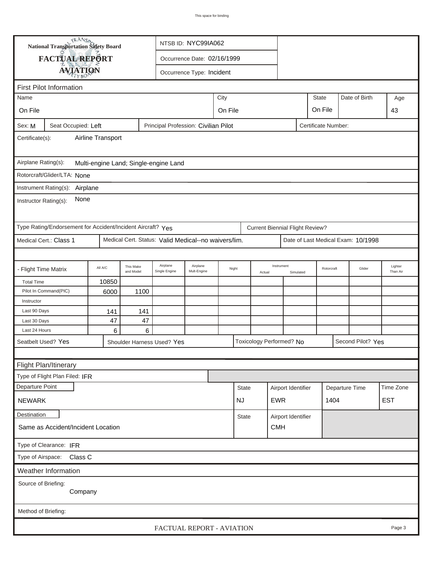| <b>National Transportation Safety Board</b><br>NTSB ID: NYC99IA062                           |                                                             |                       |                        |                                                      |                                  |         |              |  |                                        |                    |            |                |                                    |                     |  |
|----------------------------------------------------------------------------------------------|-------------------------------------------------------------|-----------------------|------------------------|------------------------------------------------------|----------------------------------|---------|--------------|--|----------------------------------------|--------------------|------------|----------------|------------------------------------|---------------------|--|
|                                                                                              | FACTUAL REPORT<br>Occurrence Date: 02/16/1999               |                       |                        |                                                      |                                  |         |              |  |                                        |                    |            |                |                                    |                     |  |
|                                                                                              | <b>AVIATION</b><br>Occurrence Type: Incident                |                       |                        |                                                      |                                  |         |              |  |                                        |                    |            |                |                                    |                     |  |
| <b>First Pilot Information</b>                                                               |                                                             |                       |                        |                                                      |                                  |         |              |  |                                        |                    |            |                |                                    |                     |  |
| Name                                                                                         |                                                             |                       |                        |                                                      |                                  | City    |              |  |                                        |                    | State      |                | Date of Birth                      | Age                 |  |
| On File                                                                                      |                                                             |                       |                        |                                                      |                                  | On File |              |  |                                        |                    | On File    |                |                                    |                     |  |
|                                                                                              |                                                             |                       |                        |                                                      |                                  |         |              |  |                                        |                    |            |                |                                    | 43                  |  |
| Sex: M<br>Seat Occupied: Left<br>Principal Profession: Civilian Pilot<br>Certificate Number: |                                                             |                       |                        |                                                      |                                  |         |              |  |                                        |                    |            |                |                                    |                     |  |
| Airline Transport<br>Certificate(s):                                                         |                                                             |                       |                        |                                                      |                                  |         |              |  |                                        |                    |            |                |                                    |                     |  |
| Airplane Rating(s):<br>Multi-engine Land; Single-engine Land                                 |                                                             |                       |                        |                                                      |                                  |         |              |  |                                        |                    |            |                |                                    |                     |  |
| Rotorcraft/Glider/LTA: None                                                                  |                                                             |                       |                        |                                                      |                                  |         |              |  |                                        |                    |            |                |                                    |                     |  |
|                                                                                              | Instrument Rating(s):                                       |                       |                        |                                                      |                                  |         |              |  |                                        |                    |            |                |                                    |                     |  |
| Airplane<br>None<br>Instructor Rating(s):                                                    |                                                             |                       |                        |                                                      |                                  |         |              |  |                                        |                    |            |                |                                    |                     |  |
|                                                                                              | Type Rating/Endorsement for Accident/Incident Aircraft? Yes |                       |                        |                                                      |                                  |         |              |  | <b>Current Biennial Flight Review?</b> |                    |            |                |                                    |                     |  |
|                                                                                              | Medical Cert.: Class 1                                      |                       |                        | Medical Cert. Status: Valid Medical--no waivers/lim. |                                  |         |              |  |                                        |                    |            |                | Date of Last Medical Exam: 10/1998 |                     |  |
|                                                                                              |                                                             |                       |                        |                                                      |                                  |         |              |  |                                        |                    |            |                |                                    |                     |  |
| - Flight Time Matrix                                                                         |                                                             | All A/C               | This Make<br>and Model | Airplane<br>Single Engine                            | Airplane<br>Night<br>Mult-Engine |         |              |  | Instrument<br>Simulated<br>Actual      |                    | Rotorcraft |                | Glider                             | Lighter<br>Than Air |  |
| <b>Total Time</b>                                                                            |                                                             | 10850                 |                        |                                                      |                                  |         |              |  |                                        |                    |            |                |                                    |                     |  |
|                                                                                              | Pilot In Command(PIC)                                       | 6000                  | 1100                   |                                                      |                                  |         |              |  |                                        |                    |            |                |                                    |                     |  |
| Instructor                                                                                   |                                                             |                       |                        |                                                      |                                  |         |              |  |                                        |                    |            |                |                                    |                     |  |
| Last 90 Days                                                                                 |                                                             | 141                   | 141                    |                                                      |                                  |         |              |  |                                        |                    |            |                |                                    |                     |  |
| Last 30 Days<br>Last 24 Hours                                                                |                                                             | 47<br>$6\phantom{1}6$ | 47<br>6                |                                                      |                                  |         |              |  |                                        |                    |            |                |                                    |                     |  |
|                                                                                              |                                                             |                       |                        |                                                      |                                  |         |              |  |                                        |                    |            |                | Second Pilot? Yes                  |                     |  |
| Seatbelt Used? Yes                                                                           |                                                             |                       |                        | Shoulder Harness Used? Yes                           |                                  |         |              |  | Toxicology Performed? No               |                    |            |                |                                    |                     |  |
|                                                                                              |                                                             |                       |                        |                                                      |                                  |         |              |  |                                        |                    |            |                |                                    |                     |  |
|                                                                                              | Flight Plan/Itinerary                                       |                       |                        |                                                      |                                  |         |              |  |                                        |                    |            |                |                                    |                     |  |
|                                                                                              | Type of Flight Plan Filed: IFR                              |                       |                        |                                                      |                                  |         |              |  |                                        |                    |            |                |                                    |                     |  |
| Departure Point                                                                              |                                                             |                       |                        |                                                      |                                  |         | <b>State</b> |  |                                        | Airport Identifier |            | Departure Time |                                    | Time Zone           |  |
| <b>NEWARK</b>                                                                                |                                                             |                       |                        |                                                      |                                  |         | <b>NJ</b>    |  | <b>EWR</b>                             |                    |            | 1404           |                                    | <b>EST</b>          |  |
| <b>Destination</b>                                                                           |                                                             |                       |                        |                                                      |                                  |         | <b>State</b> |  | Airport Identifier                     |                    |            |                |                                    |                     |  |
| Same as Accident/Incident Location                                                           |                                                             |                       |                        |                                                      |                                  |         | <b>CMH</b>   |  |                                        |                    |            |                |                                    |                     |  |
| Type of Clearance: IFR                                                                       |                                                             |                       |                        |                                                      |                                  |         |              |  |                                        |                    |            |                |                                    |                     |  |
| Type of Airspace: Class C                                                                    |                                                             |                       |                        |                                                      |                                  |         |              |  |                                        |                    |            |                |                                    |                     |  |
|                                                                                              | Weather Information                                         |                       |                        |                                                      |                                  |         |              |  |                                        |                    |            |                |                                    |                     |  |
|                                                                                              |                                                             |                       |                        |                                                      |                                  |         |              |  |                                        |                    |            |                |                                    |                     |  |
|                                                                                              | Source of Briefing:<br>Company                              |                       |                        |                                                      |                                  |         |              |  |                                        |                    |            |                |                                    |                     |  |
| Method of Briefing:                                                                          |                                                             |                       |                        |                                                      |                                  |         |              |  |                                        |                    |            |                |                                    |                     |  |
|                                                                                              |                                                             |                       |                        | FACTUAL REPORT - AVIATION                            |                                  |         |              |  |                                        |                    |            |                |                                    | Page 3              |  |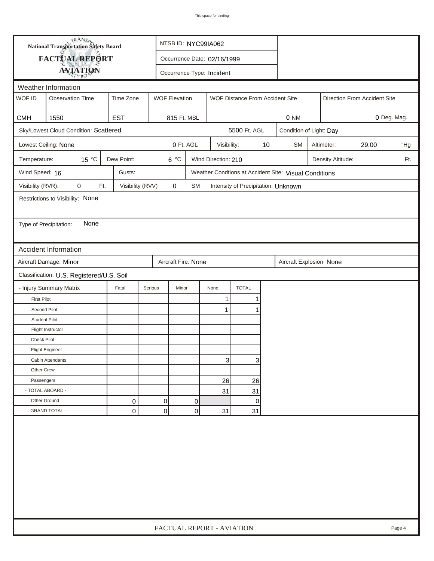| <b>National Transportation Safety Board</b> |                                           |                  |                             |                           | NTSB ID: NYC99IA062 |                                     |    |                                                       |  |                   |                              |             |
|---------------------------------------------|-------------------------------------------|------------------|-----------------------------|---------------------------|---------------------|-------------------------------------|----|-------------------------------------------------------|--|-------------------|------------------------------|-------------|
|                                             | FACTUAL REPORT                            |                  | Occurrence Date: 02/16/1999 |                           |                     |                                     |    |                                                       |  |                   |                              |             |
|                                             | <b>AVIATION</b>                           |                  |                             | Occurrence Type: Incident |                     |                                     |    |                                                       |  |                   |                              |             |
| Weather Information                         |                                           |                  |                             |                           |                     |                                     |    |                                                       |  |                   |                              |             |
| WOF ID                                      | <b>Observation Time</b>                   | Time Zone        |                             | <b>WOF Elevation</b>      |                     | WOF Distance From Accident Site     |    |                                                       |  |                   | Direction From Accident Site |             |
|                                             |                                           |                  |                             |                           |                     |                                     |    |                                                       |  |                   |                              |             |
| <b>CMH</b>                                  | 1550                                      | <b>EST</b>       |                             | 815 Ft. MSL               |                     |                                     |    | 0 NM                                                  |  |                   |                              | 0 Deg. Mag. |
|                                             | Sky/Lowest Cloud Condition: Scattered     |                  |                             |                           |                     | 5500 Ft. AGL                        |    | Condition of Light: Day                               |  |                   |                              |             |
|                                             | Lowest Ceiling: None                      |                  |                             | 0 Ft. AGL                 | Visibility:         |                                     | 10 | <b>SM</b>                                             |  | Altimeter:        | 29.00                        | "Hg         |
| Temperature:                                | 15 °C                                     | Dew Point:       |                             | $6^{\circ}$ C             | Wind Direction: 210 |                                     |    |                                                       |  | Density Altitude: |                              | Ft.         |
| Wind Speed: 16                              |                                           | Gusts:           |                             |                           |                     |                                     |    | Weather Condtions at Accident Site: Visual Conditions |  |                   |                              |             |
| Visibility (RVR):                           | 0<br>Ft.                                  | Visibility (RVV) |                             | 0<br>SM                   |                     | Intensity of Precipitation: Unknown |    |                                                       |  |                   |                              |             |
|                                             | Restrictions to Visibility: None          |                  |                             |                           |                     |                                     |    |                                                       |  |                   |                              |             |
|                                             |                                           |                  |                             |                           |                     |                                     |    |                                                       |  |                   |                              |             |
| Type of Precipitation:                      | None                                      |                  |                             |                           |                     |                                     |    |                                                       |  |                   |                              |             |
|                                             |                                           |                  |                             |                           |                     |                                     |    |                                                       |  |                   |                              |             |
|                                             | <b>Accident Information</b>               |                  |                             |                           |                     |                                     |    |                                                       |  |                   |                              |             |
|                                             | Aircraft Damage: Minor                    |                  |                             | Aircraft Fire: None       |                     |                                     |    | Aircraft Explosion None                               |  |                   |                              |             |
|                                             | Classification: U.S. Registered/U.S. Soil |                  |                             |                           |                     |                                     |    |                                                       |  |                   |                              |             |
|                                             | - Injury Summary Matrix                   | Fatal            | Serious                     | Minor                     | None                | <b>TOTAL</b>                        |    |                                                       |  |                   |                              |             |
| <b>First Pilot</b>                          |                                           |                  |                             |                           | 1                   | 1                                   |    |                                                       |  |                   |                              |             |
| Second Pilot                                |                                           |                  |                             |                           | 1                   | 1                                   |    |                                                       |  |                   |                              |             |
| <b>Student Pilot</b>                        |                                           |                  |                             |                           |                     |                                     |    |                                                       |  |                   |                              |             |
|                                             | Flight Instructor                         |                  |                             |                           |                     |                                     |    |                                                       |  |                   |                              |             |
| <b>Check Pilot</b>                          |                                           |                  |                             |                           |                     |                                     |    |                                                       |  |                   |                              |             |
|                                             | <b>Flight Engineer</b>                    |                  |                             |                           |                     |                                     |    |                                                       |  |                   |                              |             |
|                                             | Cabin Attendants                          |                  |                             |                           | 31                  | 3                                   |    |                                                       |  |                   |                              |             |
| Other Crew                                  |                                           |                  |                             |                           |                     |                                     |    |                                                       |  |                   |                              |             |
| Passengers                                  |                                           |                  |                             |                           | 26                  | 26                                  |    |                                                       |  |                   |                              |             |
| - TOTAL ABOARD -                            |                                           |                  |                             |                           | 31                  | 31                                  |    |                                                       |  |                   |                              |             |
| Other Ground                                |                                           | 0                | $\overline{0}$              | 0                         |                     | $\overline{0}$                      |    |                                                       |  |                   |                              |             |
|                                             | - GRAND TOTAL -                           | 0                | $\Omega$                    | 0                         | 31                  | 31                                  |    |                                                       |  |                   |                              |             |
|                                             |                                           |                  |                             |                           |                     |                                     |    |                                                       |  |                   |                              |             |
|                                             |                                           |                  |                             | FACTUAL REPORT - AVIATION |                     |                                     |    |                                                       |  |                   |                              | Page 4      |